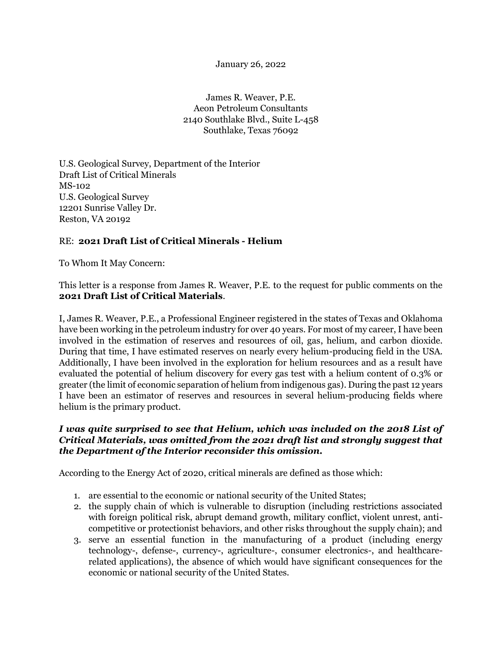January 26, 2022

James R. Weaver, P.E. Aeon Petroleum Consultants 2140 Southlake Blvd., Suite L-458 Southlake, Texas 76092

U.S. Geological Survey, Department of the Interior Draft List of Critical Minerals MS-102 U.S. Geological Survey 12201 Sunrise Valley Dr. Reston, VA 20192

## RE: **2021 Draft List of Critical Minerals - Helium**

To Whom It May Concern:

This letter is a response from James R. Weaver, P.E. to the request for public comments on the **2021 Draft List of Critical Materials**.

I, James R. Weaver, P.E., a Professional Engineer registered in the states of Texas and Oklahoma have been working in the petroleum industry for over 40 years. For most of my career, I have been involved in the estimation of reserves and resources of oil, gas, helium, and carbon dioxide. During that time, I have estimated reserves on nearly every helium-producing field in the USA. Additionally, I have been involved in the exploration for helium resources and as a result have evaluated the potential of helium discovery for every gas test with a helium content of 0.3% or greater (the limit of economic separation of helium from indigenous gas). During the past 12 years I have been an estimator of reserves and resources in several helium-producing fields where helium is the primary product.

## *I was quite surprised to see that Helium, which was included on the 2018 List of Critical Materials, was omitted from the 2021 draft list and strongly suggest that the Department of the Interior reconsider this omission.*

According to the Energy Act of 2020, critical minerals are defined as those which:

- 1. are essential to the economic or national security of the United States;
- 2. the supply chain of which is vulnerable to disruption (including restrictions associated with foreign political risk, abrupt demand growth, military conflict, violent unrest, anticompetitive or protectionist behaviors, and other risks throughout the supply chain); and
- 3. serve an essential function in the manufacturing of a product (including energy technology-, defense-, currency-, agriculture-, consumer electronics-, and healthcarerelated applications), the absence of which would have significant consequences for the economic or national security of the United States.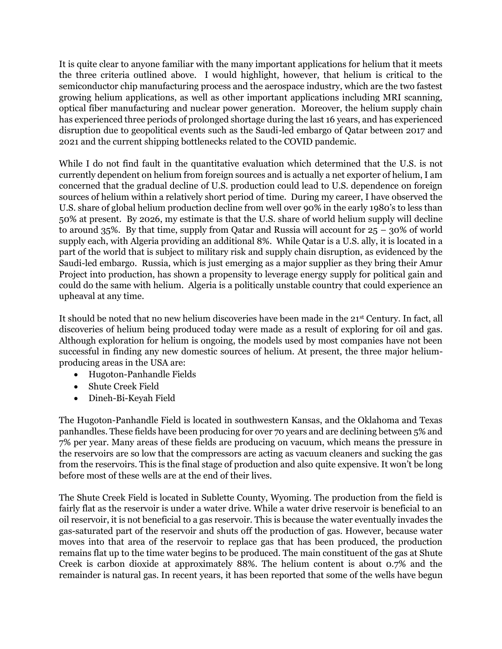It is quite clear to anyone familiar with the many important applications for helium that it meets the three criteria outlined above. I would highlight, however, that helium is critical to the semiconductor chip manufacturing process and the aerospace industry, which are the two fastest growing helium applications, as well as other important applications including MRI scanning, optical fiber manufacturing and nuclear power generation. Moreover, the helium supply chain has experienced three periods of prolonged shortage during the last 16 years, and has experienced disruption due to geopolitical events such as the Saudi-led embargo of Qatar between 2017 and 2021 and the current shipping bottlenecks related to the COVID pandemic.

While I do not find fault in the quantitative evaluation which determined that the U.S. is not currently dependent on helium from foreign sources and is actually a net exporter of helium, I am concerned that the gradual decline of U.S. production could lead to U.S. dependence on foreign sources of helium within a relatively short period of time. During my career, I have observed the U.S. share of global helium production decline from well over 90% in the early 1980's to less than 50% at present. By 2026, my estimate is that the U.S. share of world helium supply will decline to around 35%. By that time, supply from Qatar and Russia will account for  $25 - 30\%$  of world supply each, with Algeria providing an additional 8%. While Qatar is a U.S. ally, it is located in a part of the world that is subject to military risk and supply chain disruption, as evidenced by the Saudi-led embargo. Russia, which is just emerging as a major supplier as they bring their Amur Project into production, has shown a propensity to leverage energy supply for political gain and could do the same with helium. Algeria is a politically unstable country that could experience an upheaval at any time.

It should be noted that no new helium discoveries have been made in the 21st Century. In fact, all discoveries of helium being produced today were made as a result of exploring for oil and gas. Although exploration for helium is ongoing, the models used by most companies have not been successful in finding any new domestic sources of helium. At present, the three major heliumproducing areas in the USA are:

- Hugoton-Panhandle Fields
- Shute Creek Field
- Dineh-Bi-Keyah Field

The Hugoton-Panhandle Field is located in southwestern Kansas, and the Oklahoma and Texas panhandles. These fields have been producing for over 70 years and are declining between 5% and 7% per year. Many areas of these fields are producing on vacuum, which means the pressure in the reservoirs are so low that the compressors are acting as vacuum cleaners and sucking the gas from the reservoirs. This is the final stage of production and also quite expensive. It won't be long before most of these wells are at the end of their lives.

The Shute Creek Field is located in Sublette County, Wyoming. The production from the field is fairly flat as the reservoir is under a water drive. While a water drive reservoir is beneficial to an oil reservoir, it is not beneficial to a gas reservoir. This is because the water eventually invades the gas-saturated part of the reservoir and shuts off the production of gas. However, because water moves into that area of the reservoir to replace gas that has been produced, the production remains flat up to the time water begins to be produced. The main constituent of the gas at Shute Creek is carbon dioxide at approximately 88%. The helium content is about 0.7% and the remainder is natural gas. In recent years, it has been reported that some of the wells have begun